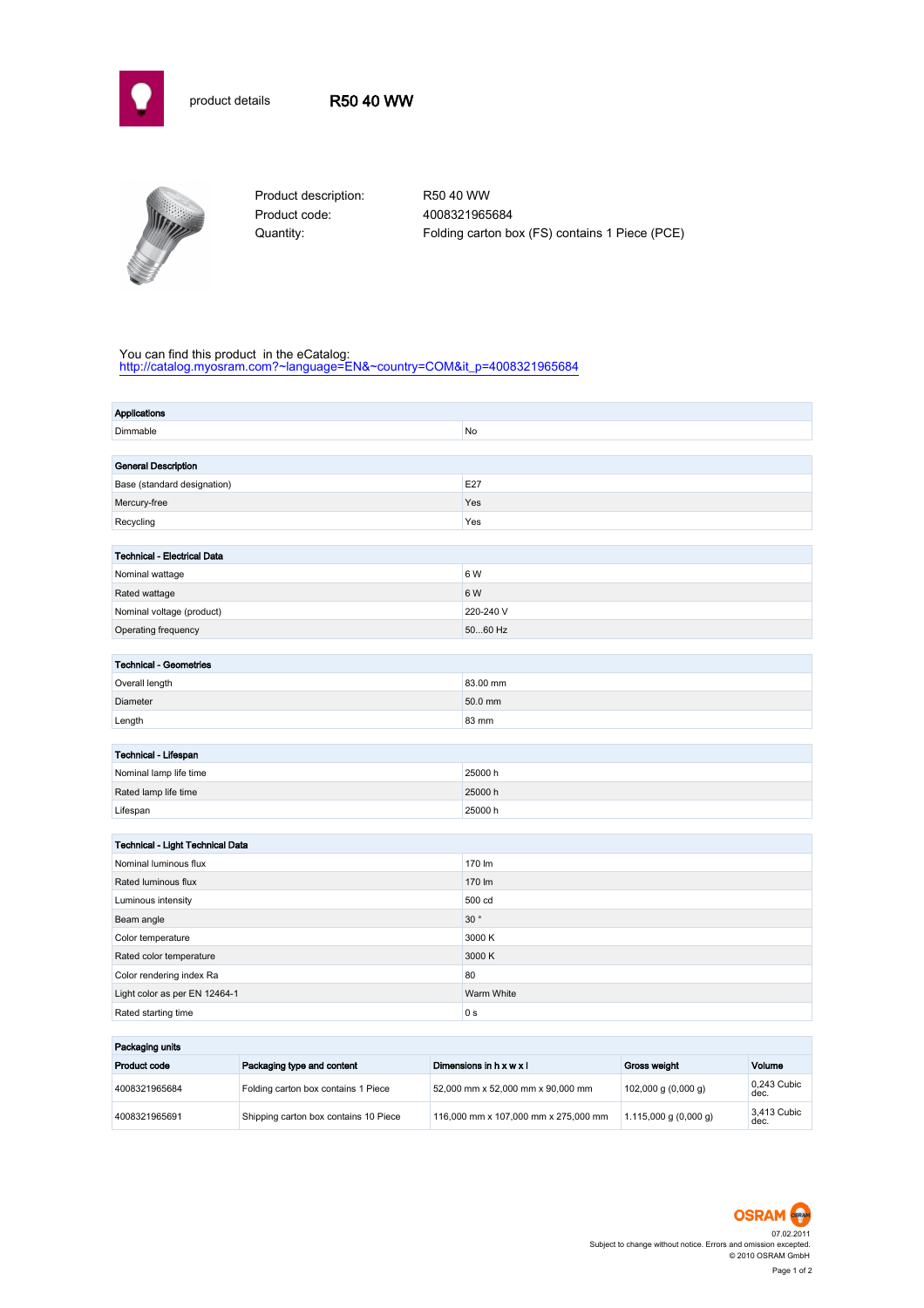



Product description: R50 40 WW Product code: 4008321965684

Quantity: Folding carton box (FS) contains 1 Piece (PCE)

## You can find this product in the eCatalog:

[http://catalog.myosram.com?~language=EN&~country=COM&it\\_p=4008321965684](http://catalog.myosram.com?~language=EN&~country=COM&it_p=4008321965684)

| <b>Applications</b>                |                 |  |  |
|------------------------------------|-----------------|--|--|
| Dimmable                           | <b>No</b>       |  |  |
|                                    |                 |  |  |
| <b>General Description</b>         |                 |  |  |
| Base (standard designation)        | E27             |  |  |
| Mercury-free                       | Yes             |  |  |
| Recycling                          | Yes             |  |  |
|                                    |                 |  |  |
| <b>Technical - Electrical Data</b> |                 |  |  |
| Nominal wattage                    | 6 W             |  |  |
| Rated wattage                      | 6 W             |  |  |
| Nominal voltage (product)          | 220-240 V       |  |  |
| Operating frequency                | 5060 Hz         |  |  |
|                                    |                 |  |  |
| <b>Technical - Geometries</b>      |                 |  |  |
| Overall length                     | 83.00 mm        |  |  |
| Diameter                           | 50.0 mm         |  |  |
| Length                             | 83 mm           |  |  |
|                                    |                 |  |  |
| Technical - Lifespan               |                 |  |  |
| Nominal lamp life time             | 25000 h         |  |  |
| Rated lamp life time               | 25000 h         |  |  |
| Lifespan                           | 25000h          |  |  |
|                                    |                 |  |  |
| Technical - Light Technical Data   |                 |  |  |
| Nominal luminous flux              | 170 lm          |  |  |
| Rated luminous flux                | 170 lm          |  |  |
| Luminous intensity                 | 500 cd          |  |  |
| Beam angle                         | $30$ $^{\circ}$ |  |  |
| Color temperature                  | 3000 K          |  |  |
| Rated color temperature            | 3000 K          |  |  |
| Color rendering index Ra           | 80              |  |  |
| Light color as per EN 12464-1      | Warm White      |  |  |
| Rated starting time                | 0 <sub>s</sub>  |  |  |
|                                    |                 |  |  |

| Packaging units |                                       |                                      |                           |                     |  |
|-----------------|---------------------------------------|--------------------------------------|---------------------------|---------------------|--|
| Product code    | Packaging type and content            | Dimensions in $h \times w \times l$  | Gross weight              | Volume              |  |
| 4008321965684   | Folding carton box contains 1 Piece   | 52,000 mm x 52,000 mm x 90,000 mm    | 102,000 g $(0,000 g)$     | 0.243 Cubic<br>dec. |  |
| 4008321965691   | Shipping carton box contains 10 Piece | 116,000 mm x 107,000 mm x 275,000 mm | $1.115,000$ g $(0,000$ g) | 3.413 Cubic<br>dec. |  |